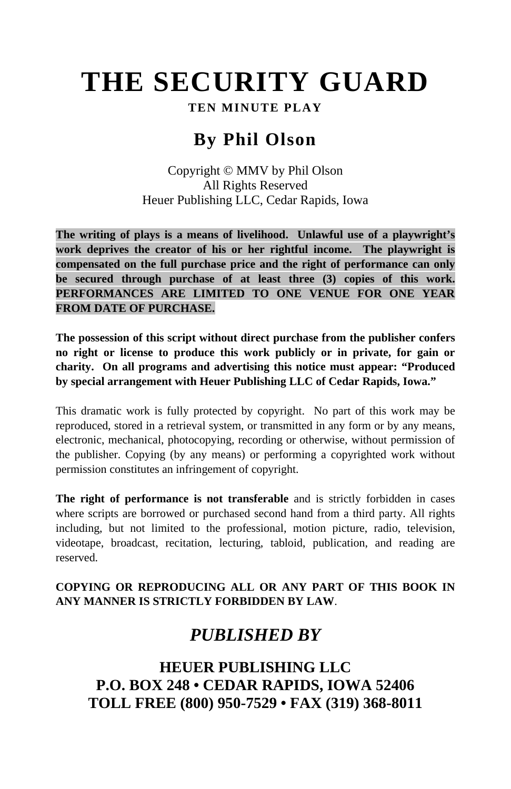# **THE SECURITY GUARD**

## **TEN MINUTE PLAY**

## **By Phil Olson**

Copyright © MMV by Phil Olson All Rights Reserved Heuer Publishing LLC, Cedar Rapids, Iowa

**The writing of plays is a means of livelihood. Unlawful use of a playwright's work deprives the creator of his or her rightful income. The playwright is compensated on the full purchase price and the right of performance can only be secured through purchase of at least three (3) copies of this work. PERFORMANCES ARE LIMITED TO ONE VENUE FOR ONE YEAR FROM DATE OF PURCHASE.**

**The possession of this script without direct purchase from the publisher confers no right or license to produce this work publicly or in private, for gain or charity. On all programs and advertising this notice must appear: "Produced by special arrangement with Heuer Publishing LLC of Cedar Rapids, Iowa."**

This dramatic work is fully protected by copyright. No part of this work may be reproduced, stored in a retrieval system, or transmitted in any form or by any means, electronic, mechanical, photocopying, recording or otherwise, without permission of the publisher. Copying (by any means) or performing a copyrighted work without permission constitutes an infringement of copyright.

**The right of performance is not transferable** and is strictly forbidden in cases where scripts are borrowed or purchased second hand from a third party. All rights including, but not limited to the professional, motion picture, radio, television, videotape, broadcast, recitation, lecturing, tabloid, publication, and reading are reserved.

#### **COPYING OR REPRODUCING ALL OR ANY PART OF THIS BOOK IN ANY MANNER IS STRICTLY FORBIDDEN BY LAW**.

# *PUBLISHED BY*

**HEUER PUBLISHING LLC P.O. BOX 248 • CEDAR RAPIDS, IOWA 52406 TOLL FREE (800) 950-7529 • FAX (319) 368-8011**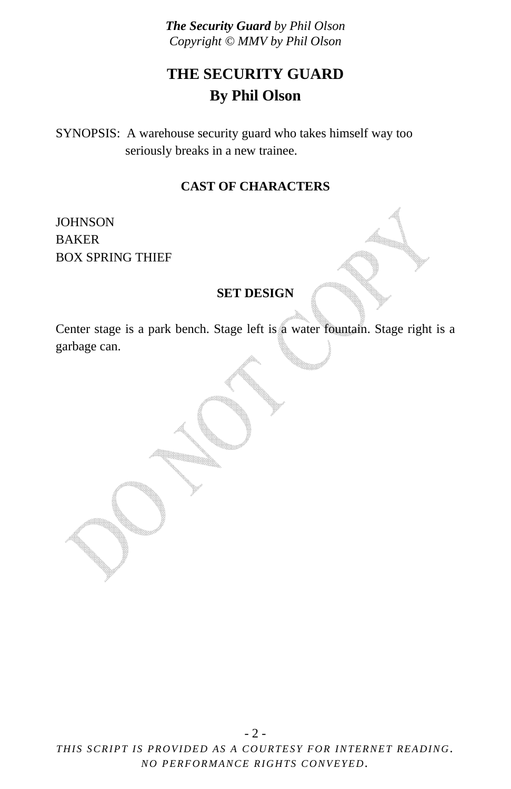# **THE SECURITY GUARD By Phil Olson**

SYNOPSIS: A warehouse security guard who takes himself way too seriously breaks in a new trainee.

### **CAST OF CHARACTERS**

**JOHNSON** BAKER BOX SPRING THIEF

#### **SET DESIGN**

Center stage is a park bench. Stage left is a water fountain. Stage right is a garbage can.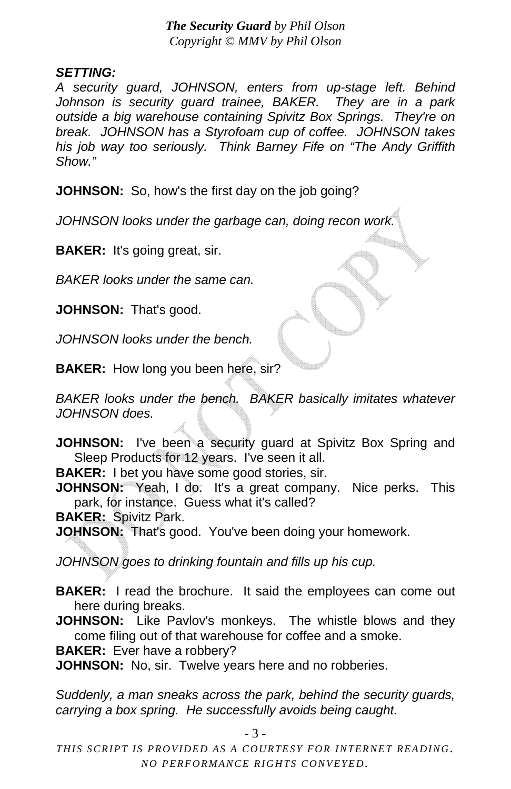## *SETTING:*

*A security guard, JOHNSON, enters from up-stage left. Behind Johnson is security guard trainee, BAKER. They are in a park outside a big warehouse containing Spivitz Box Springs. They're on break. JOHNSON has a Styrofoam cup of coffee. JOHNSON takes his job way too seriously. Think Barney Fife on "The Andy Griffith Show."*

**JOHNSON:** So, how's the first day on the job going?

*JOHNSON looks under the garbage can, doing recon work.* 

**BAKER:** It's going great, sir.

*BAKER looks under the same can.* 

**JOHNSON:** That's good.

*JOHNSON looks under the bench.* 

**BAKER:** How long you been here, sir?

*BAKER looks under the bench. BAKER basically imitates whatever JOHNSON does.* 

**JOHNSON:** I've been a security guard at Spivitz Box Spring and Sleep Products for 12 years. I've seen it all.

**BAKER:** I bet you have some good stories, sir.

**JOHNSON:** Yeah, I do. It's a great company. Nice perks. This park, for instance. Guess what it's called?

**BAKER:** Spivitz Park.

**JOHNSON:** That's good. You've been doing your homework.

*JOHNSON goes to drinking fountain and fills up his cup.* 

**BAKER:** I read the brochure. It said the employees can come out here during breaks.

**JOHNSON:** Like Pavlov's monkeys. The whistle blows and they come filing out of that warehouse for coffee and a smoke.

**BAKER:** Ever have a robbery?

**JOHNSON:** No, sir. Twelve years here and no robberies.

*Suddenly, a man sneaks across the park, behind the security guards, carrying a box spring. He successfully avoids being caught.* 

- 3 -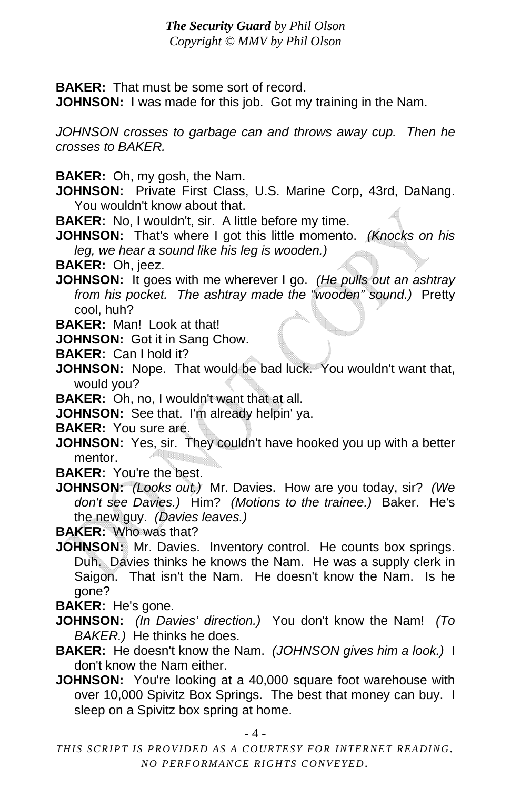**BAKER:** That must be some sort of record.

**JOHNSON:** I was made for this job. Got my training in the Nam.

*JOHNSON crosses to garbage can and throws away cup. Then he crosses to BAKER.* 

**BAKER:** Oh, my gosh, the Nam.

- **JOHNSON:** Private First Class, U.S. Marine Corp, 43rd, DaNang. You wouldn't know about that.
- **BAKER:** No, I wouldn't, sir. A little before my time.

**JOHNSON:** That's where I got this little momento. *(Knocks on his leg, we hear a sound like his leg is wooden.)*

**BAKER:** Oh, jeez.

- **JOHNSON:** It goes with me wherever I go. *(He pulls out an ashtray from his pocket. The ashtray made the "wooden" sound.)* Pretty cool, huh?
- **BAKER:** Man! Look at that!

**JOHNSON:** Got it in Sang Chow.

- **BAKER:** Can I hold it?
- **JOHNSON:** Nope. That would be bad luck. You wouldn't want that, would you?

**BAKER:** Oh, no, I wouldn't want that at all.

**JOHNSON:** See that. I'm already helpin' ya.

**BAKER:** You sure are.

**JOHNSON:** Yes, sir. They couldn't have hooked you up with a better mentor.

**BAKER:** You're the best.

**JOHNSON:** *(Looks out.)* Mr. Davies. How are you today, sir? *(We don't see Davies.)* Him? *(Motions to the trainee.)* Baker. He's the new guy. *(Davies leaves.)*

**BAKER:** Who was that?

**JOHNSON:** Mr. Davies. Inventory control. He counts box springs. Duh. Davies thinks he knows the Nam. He was a supply clerk in Saigon. That isn't the Nam. He doesn't know the Nam. Is he gone?

**BAKER:** He's gone.

- **JOHNSON:** *(In Davies' direction.)* You don't know the Nam! *(To BAKER.)* He thinks he does.
- **BAKER:** He doesn't know the Nam. *(JOHNSON gives him a look.)* I don't know the Nam either.
- **JOHNSON:** You're looking at a 40,000 square foot warehouse with over 10,000 Spivitz Box Springs. The best that money can buy. I sleep on a Spivitz box spring at home.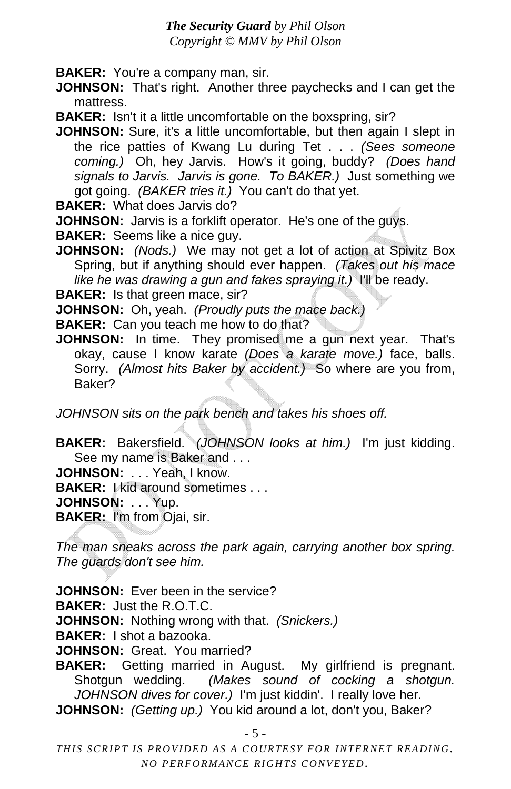**BAKER:** You're a company man, sir.

**JOHNSON:** That's right. Another three paychecks and I can get the mattress.

**BAKER:** Isn't it a little uncomfortable on the boxspring, sir?

**JOHNSON:** Sure, it's a little uncomfortable, but then again I slept in the rice patties of Kwang Lu during Tet . . . *(Sees someone coming.)* Oh, hey Jarvis. How's it going, buddy? *(Does hand signals to Jarvis. Jarvis is gone. To BAKER.)* Just something we got going. *(BAKER tries it.)* You can't do that yet.

**BAKER:** What does Jarvis do?

**JOHNSON:** Jarvis is a forklift operator. He's one of the guys.

**BAKER:** Seems like a nice guy.

**JOHNSON:** *(Nods.)* We may not get a lot of action at Spivitz Box Spring, but if anything should ever happen. *(Takes out his mace like he was drawing a gun and fakes spraying it.)* I'll be ready.

**BAKER:** Is that green mace, sir?

**JOHNSON:** Oh, yeah. *(Proudly puts the mace back.)*

**BAKER:** Can you teach me how to do that?

**JOHNSON:** In time. They promised me a gun next year. That's okay, cause I know karate *(Does a karate move.)* face, balls. Sorry. *(Almost hits Baker by accident.)* So where are you from, Baker?

*JOHNSON sits on the park bench and takes his shoes off.* 

**BAKER:** Bakersfield. *(JOHNSON looks at him.)* I'm just kidding. See my name is Baker and . . .

**JOHNSON:** . . . Yeah, I know.

**BAKER:** I kid around sometimes . . .

**JOHNSON:** . . . Yup.

**BAKER:** I'm from Ojai, sir.

*The man sneaks across the park again, carrying another box spring. The guards don't see him.*

**JOHNSON:** Ever been in the service?

**BAKER:** Just the R.O.T.C.

**JOHNSON:** Nothing wrong with that. *(Snickers.)*

**BAKER:** I shot a bazooka.

**JOHNSON:** Great. You married?

**BAKER:** Getting married in August. My girlfriend is pregnant. Shotgun wedding. *(Makes sound of cocking a shotgun. JOHNSON dives for cover.)* I'm just kiddin'. I really love her.

**JOHNSON:** *(Getting up.)* You kid around a lot, don't you, Baker?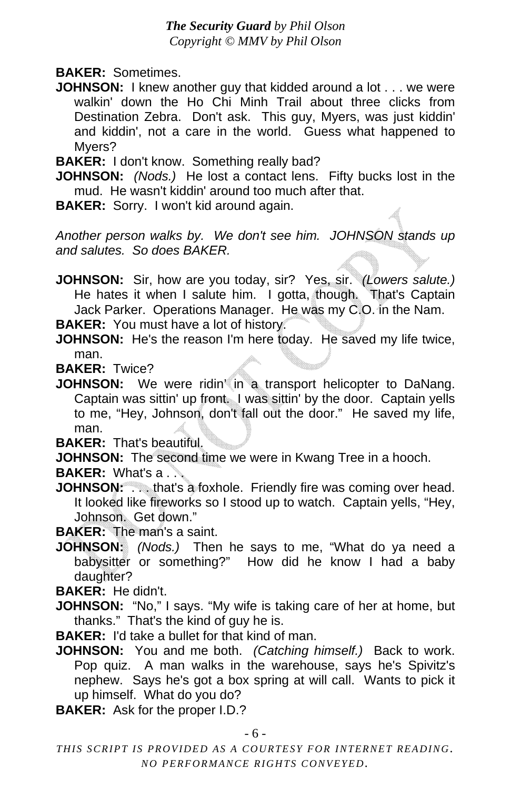- **BAKER:** Sometimes.
- **JOHNSON:** I knew another guy that kidded around a lot . . . we were walkin' down the Ho Chi Minh Trail about three clicks from Destination Zebra. Don't ask. This guy, Myers, was just kiddin' and kiddin', not a care in the world. Guess what happened to Myers?

**BAKER:** I don't know. Something really bad?

**JOHNSON:** *(Nods.)* He lost a contact lens. Fifty bucks lost in the mud. He wasn't kiddin' around too much after that.

**BAKER:** Sorry. I won't kid around again.

*Another person walks by. We don't see him. JOHNSON stands up and salutes. So does BAKER.* 

**JOHNSON:** Sir, how are you today, sir? Yes, sir. *(Lowers salute.)* He hates it when I salute him. I gotta, though. That's Captain Jack Parker. Operations Manager. He was my C.O. in the Nam.

**BAKER:** You must have a lot of history.

**JOHNSON:** He's the reason I'm here today. He saved my life twice, man.

**BAKER:** Twice?

**JOHNSON:** We were ridin' in a transport helicopter to DaNang. Captain was sittin' up front. I was sittin' by the door. Captain yells to me, "Hey, Johnson, don't fall out the door." He saved my life, man.

**BAKER:** That's beautiful.

**JOHNSON:** The second time we were in Kwang Tree in a hooch.

**BAKER:** What's a . . .

**JOHNSON:** . . . that's a foxhole. Friendly fire was coming over head. It looked like fireworks so I stood up to watch. Captain yells, "Hey, Johnson. Get down."

**BAKER:** The man's a saint.

**JOHNSON:** *(Nods.)* Then he says to me, "What do ya need a babysitter or something?" How did he know I had a baby daughter?

**BAKER:** He didn't.

- **JOHNSON:** "No," I says. "My wife is taking care of her at home, but thanks." That's the kind of guy he is.
- **BAKER:** I'd take a bullet for that kind of man.
- **JOHNSON:** You and me both. *(Catching himself.)* Back to work. Pop quiz. A man walks in the warehouse, says he's Spivitz's nephew. Says he's got a box spring at will call. Wants to pick it up himself. What do you do?

**BAKER:** Ask for the proper I.D.?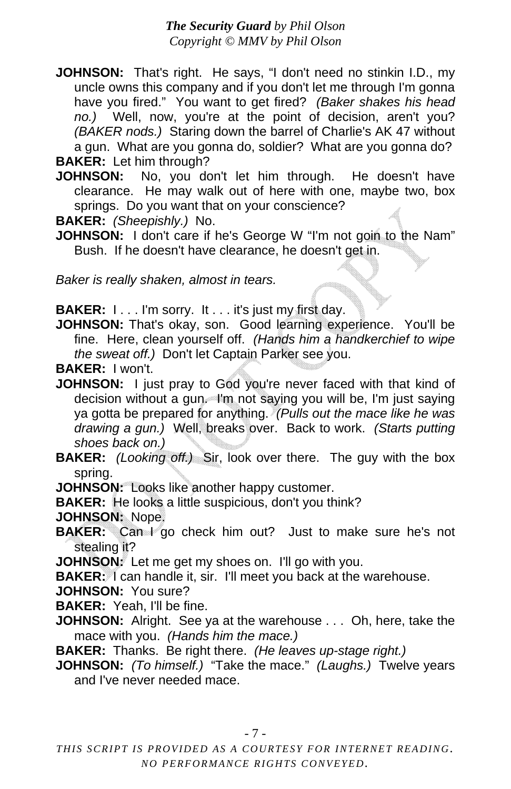- **JOHNSON:** That's right. He says, "I don't need no stinkin I.D., my uncle owns this company and if you don't let me through I'm gonna have you fired." You want to get fired? *(Baker shakes his head no.)* Well, now, you're at the point of decision, aren't you? *(BAKER nods.)* Staring down the barrel of Charlie's AK 47 without a gun. What are you gonna do, soldier? What are you gonna do? **BAKER:** Let him through?
- JOHNSON: No, you don't let him through. He doesn't have clearance. He may walk out of here with one, maybe two, box

springs. Do you want that on your conscience?

**BAKER:** *(Sheepishly.)* No.

**JOHNSON:** I don't care if he's George W "I'm not goin to the Nam" Bush. If he doesn't have clearance, he doesn't get in.

*Baker is really shaken, almost in tears.* 

**BAKER: I...** I'm sorry. It... it's just my first day.

**JOHNSON:** That's okay, son. Good learning experience. You'll be fine. Here, clean yourself off. *(Hands him a handkerchief to wipe the sweat off.)* Don't let Captain Parker see you.

**BAKER:** I won't.

- **JOHNSON:** I just pray to God you're never faced with that kind of decision without a gun. I'm not saying you will be, I'm just saying ya gotta be prepared for anything. *(Pulls out the mace like he was drawing a gun.)* Well, breaks over. Back to work. *(Starts putting shoes back on.)*
- **BAKER:** *(Looking off.)* Sir, look over there. The guy with the box spring.
- **JOHNSON:** Looks like another happy customer.

**BAKER:** He looks a little suspicious, don't you think?

**JOHNSON:** Nope.

**BAKER:** Can I go check him out? Just to make sure he's not stealing it?

JOHNSON: Let me get my shoes on. I'll go with you.

- **BAKER:** I can handle it, sir. I'll meet you back at the warehouse.
- **JOHNSON:** You sure?
- **BAKER:** Yeah, I'll be fine.
- **JOHNSON:** Alright. See ya at the warehouse . . . Oh, here, take the mace with you. *(Hands him the mace.)*
- **BAKER:** Thanks. Be right there. *(He leaves up-stage right.)*
- **JOHNSON:** *(To himself.)* "Take the mace." *(Laughs.)* Twelve years and I've never needed mace.